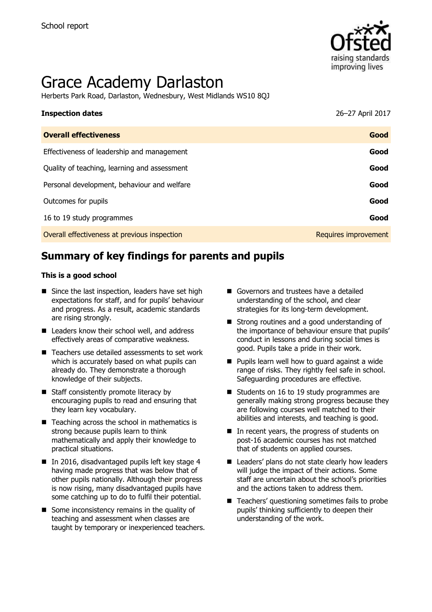

# Grace Academy Darlaston

Herberts Park Road, Darlaston, Wednesbury, West Midlands WS10 8QJ

| <b>Inspection dates</b>                      | 26-27 April 2017     |
|----------------------------------------------|----------------------|
| <b>Overall effectiveness</b>                 | Good                 |
| Effectiveness of leadership and management   | Good                 |
| Quality of teaching, learning and assessment | Good                 |
| Personal development, behaviour and welfare  | Good                 |
| Outcomes for pupils                          | Good                 |
| 16 to 19 study programmes                    | Good                 |
| Overall effectiveness at previous inspection | Requires improvement |

# **Summary of key findings for parents and pupils**

#### **This is a good school**

- $\blacksquare$  Since the last inspection, leaders have set high expectations for staff, and for pupils' behaviour and progress. As a result, academic standards are rising strongly.
- Leaders know their school well, and address effectively areas of comparative weakness.
- Teachers use detailed assessments to set work which is accurately based on what pupils can already do. They demonstrate a thorough knowledge of their subjects.
- Staff consistently promote literacy by encouraging pupils to read and ensuring that they learn key vocabulary.
- $\blacksquare$  Teaching across the school in mathematics is strong because pupils learn to think mathematically and apply their knowledge to practical situations.
- In 2016, disadvantaged pupils left key stage 4 having made progress that was below that of other pupils nationally. Although their progress is now rising, many disadvantaged pupils have some catching up to do to fulfil their potential.
- $\blacksquare$  Some inconsistency remains in the quality of teaching and assessment when classes are taught by temporary or inexperienced teachers.
- Governors and trustees have a detailed understanding of the school, and clear strategies for its long-term development.
- Strong routines and a good understanding of the importance of behaviour ensure that pupils' conduct in lessons and during social times is good. Pupils take a pride in their work.
- **Pupils learn well how to quard against a wide** range of risks. They rightly feel safe in school. Safeguarding procedures are effective.
- Students on 16 to 19 study programmes are generally making strong progress because they are following courses well matched to their abilities and interests, and teaching is good.
- In recent years, the progress of students on post-16 academic courses has not matched that of students on applied courses.
- Leaders' plans do not state clearly how leaders will judge the impact of their actions. Some staff are uncertain about the school's priorities and the actions taken to address them.
- Teachers' questioning sometimes fails to probe pupils' thinking sufficiently to deepen their understanding of the work.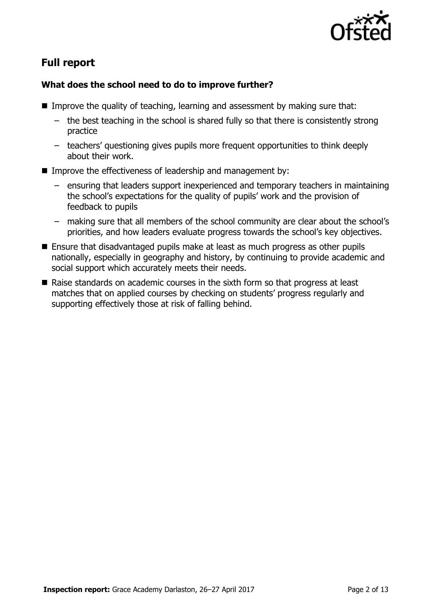

# **Full report**

### **What does the school need to do to improve further?**

- Improve the quality of teaching, learning and assessment by making sure that:
	- the best teaching in the school is shared fully so that there is consistently strong practice
	- teachers' questioning gives pupils more frequent opportunities to think deeply about their work.
- Improve the effectiveness of leadership and management by:
	- ensuring that leaders support inexperienced and temporary teachers in maintaining the school's expectations for the quality of pupils' work and the provision of feedback to pupils
	- making sure that all members of the school community are clear about the school's priorities, and how leaders evaluate progress towards the school's key objectives.
- Ensure that disadvantaged pupils make at least as much progress as other pupils nationally, especially in geography and history, by continuing to provide academic and social support which accurately meets their needs.
- Raise standards on academic courses in the sixth form so that progress at least matches that on applied courses by checking on students' progress regularly and supporting effectively those at risk of falling behind.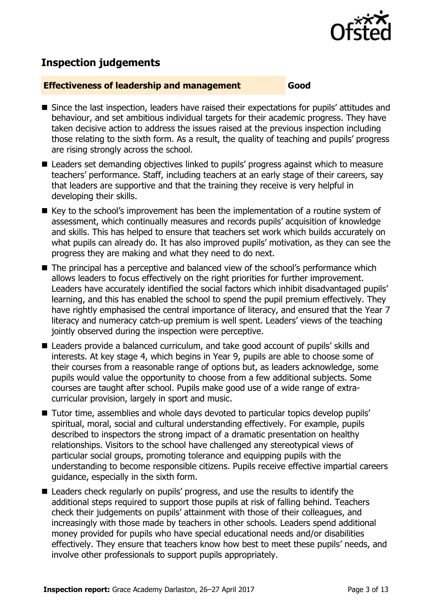

# **Inspection judgements**

#### **Effectiveness of leadership and management Good**

- Since the last inspection, leaders have raised their expectations for pupils' attitudes and behaviour, and set ambitious individual targets for their academic progress. They have taken decisive action to address the issues raised at the previous inspection including those relating to the sixth form. As a result, the quality of teaching and pupils' progress are rising strongly across the school.
- Leaders set demanding objectives linked to pupils' progress against which to measure teachers' performance. Staff, including teachers at an early stage of their careers, say that leaders are supportive and that the training they receive is very helpful in developing their skills.
- Key to the school's improvement has been the implementation of a routine system of assessment, which continually measures and records pupils' acquisition of knowledge and skills. This has helped to ensure that teachers set work which builds accurately on what pupils can already do. It has also improved pupils' motivation, as they can see the progress they are making and what they need to do next.
- The principal has a perceptive and balanced view of the school's performance which allows leaders to focus effectively on the right priorities for further improvement. Leaders have accurately identified the social factors which inhibit disadvantaged pupils' learning, and this has enabled the school to spend the pupil premium effectively. They have rightly emphasised the central importance of literacy, and ensured that the Year 7 literacy and numeracy catch-up premium is well spent. Leaders' views of the teaching jointly observed during the inspection were perceptive.
- Leaders provide a balanced curriculum, and take good account of pupils' skills and interests. At key stage 4, which begins in Year 9, pupils are able to choose some of their courses from a reasonable range of options but, as leaders acknowledge, some pupils would value the opportunity to choose from a few additional subjects. Some courses are taught after school. Pupils make good use of a wide range of extracurricular provision, largely in sport and music.
- Tutor time, assemblies and whole days devoted to particular topics develop pupils' spiritual, moral, social and cultural understanding effectively. For example, pupils described to inspectors the strong impact of a dramatic presentation on healthy relationships. Visitors to the school have challenged any stereotypical views of particular social groups, promoting tolerance and equipping pupils with the understanding to become responsible citizens. Pupils receive effective impartial careers guidance, especially in the sixth form.
- Leaders check regularly on pupils' progress, and use the results to identify the additional steps required to support those pupils at risk of falling behind. Teachers check their judgements on pupils' attainment with those of their colleagues, and increasingly with those made by teachers in other schools. Leaders spend additional money provided for pupils who have special educational needs and/or disabilities effectively. They ensure that teachers know how best to meet these pupils' needs, and involve other professionals to support pupils appropriately.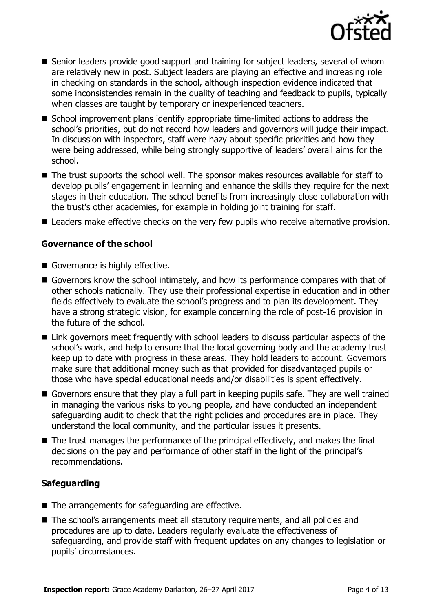

- Senior leaders provide good support and training for subject leaders, several of whom are relatively new in post. Subject leaders are playing an effective and increasing role in checking on standards in the school, although inspection evidence indicated that some inconsistencies remain in the quality of teaching and feedback to pupils, typically when classes are taught by temporary or inexperienced teachers.
- School improvement plans identify appropriate time-limited actions to address the school's priorities, but do not record how leaders and governors will judge their impact. In discussion with inspectors, staff were hazy about specific priorities and how they were being addressed, while being strongly supportive of leaders' overall aims for the school.
- The trust supports the school well. The sponsor makes resources available for staff to develop pupils' engagement in learning and enhance the skills they require for the next stages in their education. The school benefits from increasingly close collaboration with the trust's other academies, for example in holding joint training for staff.
- Leaders make effective checks on the very few pupils who receive alternative provision.

### **Governance of the school**

- Governance is highly effective.
- Governors know the school intimately, and how its performance compares with that of other schools nationally. They use their professional expertise in education and in other fields effectively to evaluate the school's progress and to plan its development. They have a strong strategic vision, for example concerning the role of post-16 provision in the future of the school.
- Link governors meet frequently with school leaders to discuss particular aspects of the school's work, and help to ensure that the local governing body and the academy trust keep up to date with progress in these areas. They hold leaders to account. Governors make sure that additional money such as that provided for disadvantaged pupils or those who have special educational needs and/or disabilities is spent effectively.
- Governors ensure that they play a full part in keeping pupils safe. They are well trained in managing the various risks to young people, and have conducted an independent safeguarding audit to check that the right policies and procedures are in place. They understand the local community, and the particular issues it presents.
- The trust manages the performance of the principal effectively, and makes the final decisions on the pay and performance of other staff in the light of the principal's recommendations.

### **Safeguarding**

- $\blacksquare$  The arrangements for safeguarding are effective.
- The school's arrangements meet all statutory requirements, and all policies and procedures are up to date. Leaders regularly evaluate the effectiveness of safeguarding, and provide staff with frequent updates on any changes to legislation or pupils' circumstances.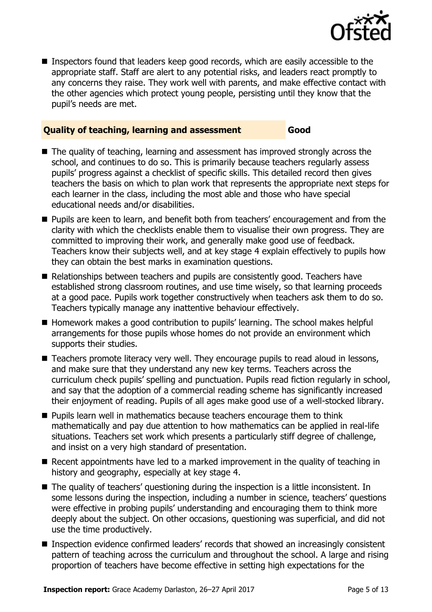

■ Inspectors found that leaders keep good records, which are easily accessible to the appropriate staff. Staff are alert to any potential risks, and leaders react promptly to any concerns they raise. They work well with parents, and make effective contact with the other agencies which protect young people, persisting until they know that the pupil's needs are met.

#### **Quality of teaching, learning and assessment Good**

- The quality of teaching, learning and assessment has improved strongly across the school, and continues to do so. This is primarily because teachers regularly assess pupils' progress against a checklist of specific skills. This detailed record then gives teachers the basis on which to plan work that represents the appropriate next steps for each learner in the class, including the most able and those who have special educational needs and/or disabilities.
- **Pupils are keen to learn, and benefit both from teachers' encouragement and from the** clarity with which the checklists enable them to visualise their own progress. They are committed to improving their work, and generally make good use of feedback. Teachers know their subjects well, and at key stage 4 explain effectively to pupils how they can obtain the best marks in examination questions.
- Relationships between teachers and pupils are consistently good. Teachers have established strong classroom routines, and use time wisely, so that learning proceeds at a good pace. Pupils work together constructively when teachers ask them to do so. Teachers typically manage any inattentive behaviour effectively.
- Homework makes a good contribution to pupils' learning. The school makes helpful arrangements for those pupils whose homes do not provide an environment which supports their studies.
- Teachers promote literacy very well. They encourage pupils to read aloud in lessons, and make sure that they understand any new key terms. Teachers across the curriculum check pupils' spelling and punctuation. Pupils read fiction regularly in school, and say that the adoption of a commercial reading scheme has significantly increased their enjoyment of reading. Pupils of all ages make good use of a well-stocked library.
- $\blacksquare$  Pupils learn well in mathematics because teachers encourage them to think mathematically and pay due attention to how mathematics can be applied in real-life situations. Teachers set work which presents a particularly stiff degree of challenge, and insist on a very high standard of presentation.
- Recent appointments have led to a marked improvement in the quality of teaching in history and geography, especially at key stage 4.
- The quality of teachers' questioning during the inspection is a little inconsistent. In some lessons during the inspection, including a number in science, teachers' questions were effective in probing pupils' understanding and encouraging them to think more deeply about the subject. On other occasions, questioning was superficial, and did not use the time productively.
- Inspection evidence confirmed leaders' records that showed an increasingly consistent pattern of teaching across the curriculum and throughout the school. A large and rising proportion of teachers have become effective in setting high expectations for the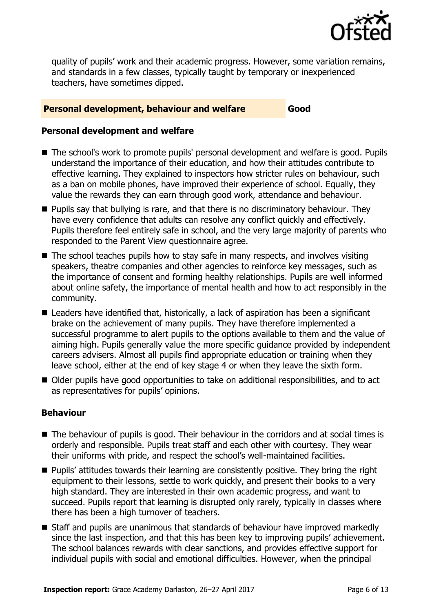

quality of pupils' work and their academic progress. However, some variation remains, and standards in a few classes, typically taught by temporary or inexperienced teachers, have sometimes dipped.

#### **Personal development, behaviour and welfare <b>Good**

#### **Personal development and welfare**

- The school's work to promote pupils' personal development and welfare is good. Pupils understand the importance of their education, and how their attitudes contribute to effective learning. They explained to inspectors how stricter rules on behaviour, such as a ban on mobile phones, have improved their experience of school. Equally, they value the rewards they can earn through good work, attendance and behaviour.
- **Pupils say that bullying is rare, and that there is no discriminatory behaviour. They** have every confidence that adults can resolve any conflict quickly and effectively. Pupils therefore feel entirely safe in school, and the very large majority of parents who responded to the Parent View questionnaire agree.
- $\blacksquare$  The school teaches pupils how to stay safe in many respects, and involves visiting speakers, theatre companies and other agencies to reinforce key messages, such as the importance of consent and forming healthy relationships. Pupils are well informed about online safety, the importance of mental health and how to act responsibly in the community.
- Leaders have identified that, historically, a lack of aspiration has been a significant brake on the achievement of many pupils. They have therefore implemented a successful programme to alert pupils to the options available to them and the value of aiming high. Pupils generally value the more specific guidance provided by independent careers advisers. Almost all pupils find appropriate education or training when they leave school, either at the end of key stage 4 or when they leave the sixth form.
- Older pupils have good opportunities to take on additional responsibilities, and to act as representatives for pupils' opinions.

### **Behaviour**

- The behaviour of pupils is good. Their behaviour in the corridors and at social times is orderly and responsible. Pupils treat staff and each other with courtesy. They wear their uniforms with pride, and respect the school's well-maintained facilities.
- **Pupils' attitudes towards their learning are consistently positive. They bring the right** equipment to their lessons, settle to work quickly, and present their books to a very high standard. They are interested in their own academic progress, and want to succeed. Pupils report that learning is disrupted only rarely, typically in classes where there has been a high turnover of teachers.
- Staff and pupils are unanimous that standards of behaviour have improved markedly since the last inspection, and that this has been key to improving pupils' achievement. The school balances rewards with clear sanctions, and provides effective support for individual pupils with social and emotional difficulties. However, when the principal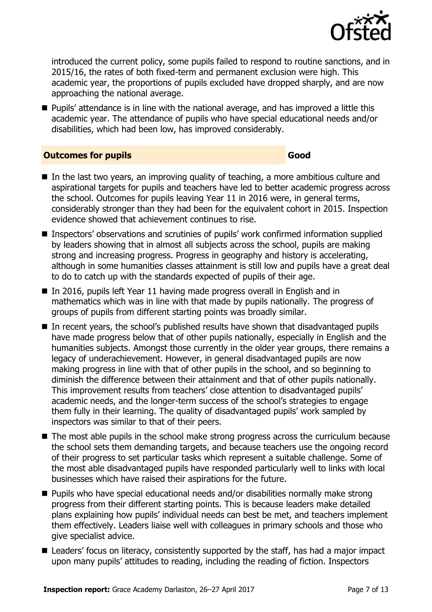

introduced the current policy, some pupils failed to respond to routine sanctions, and in 2015/16, the rates of both fixed-term and permanent exclusion were high. This academic year, the proportions of pupils excluded have dropped sharply, and are now approaching the national average.

 Pupils' attendance is in line with the national average, and has improved a little this academic year. The attendance of pupils who have special educational needs and/or disabilities, which had been low, has improved considerably.

#### **Outcomes for pupils Good**

- $\blacksquare$  In the last two years, an improving quality of teaching, a more ambitious culture and aspirational targets for pupils and teachers have led to better academic progress across the school. Outcomes for pupils leaving Year 11 in 2016 were, in general terms, considerably stronger than they had been for the equivalent cohort in 2015. Inspection evidence showed that achievement continues to rise.
- Inspectors' observations and scrutinies of pupils' work confirmed information supplied by leaders showing that in almost all subjects across the school, pupils are making strong and increasing progress. Progress in geography and history is accelerating, although in some humanities classes attainment is still low and pupils have a great deal to do to catch up with the standards expected of pupils of their age.
- In 2016, pupils left Year 11 having made progress overall in English and in mathematics which was in line with that made by pupils nationally. The progress of groups of pupils from different starting points was broadly similar.
- In recent years, the school's published results have shown that disadvantaged pupils have made progress below that of other pupils nationally, especially in English and the humanities subjects. Amongst those currently in the older year groups, there remains a legacy of underachievement. However, in general disadvantaged pupils are now making progress in line with that of other pupils in the school, and so beginning to diminish the difference between their attainment and that of other pupils nationally. This improvement results from teachers' close attention to disadvantaged pupils' academic needs, and the longer-term success of the school's strategies to engage them fully in their learning. The quality of disadvantaged pupils' work sampled by inspectors was similar to that of their peers.
- The most able pupils in the school make strong progress across the curriculum because the school sets them demanding targets, and because teachers use the ongoing record of their progress to set particular tasks which represent a suitable challenge. Some of the most able disadvantaged pupils have responded particularly well to links with local businesses which have raised their aspirations for the future.
- Pupils who have special educational needs and/or disabilities normally make strong progress from their different starting points. This is because leaders make detailed plans explaining how pupils' individual needs can best be met, and teachers implement them effectively. Leaders liaise well with colleagues in primary schools and those who give specialist advice.
- Leaders' focus on literacy, consistently supported by the staff, has had a major impact upon many pupils' attitudes to reading, including the reading of fiction. Inspectors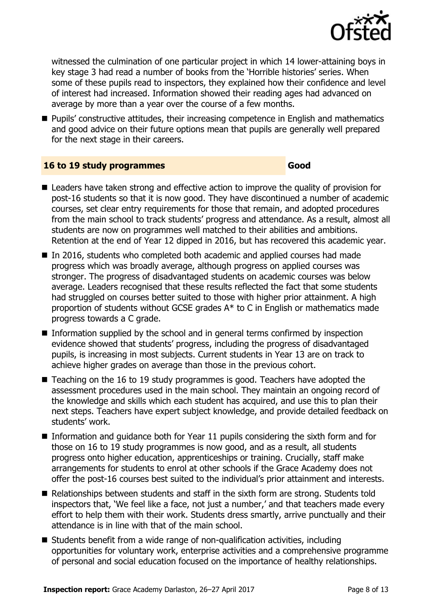

witnessed the culmination of one particular project in which 14 lower-attaining boys in key stage 3 had read a number of books from the 'Horrible histories' series. When some of these pupils read to inspectors, they explained how their confidence and level of interest had increased. Information showed their reading ages had advanced on average by more than a year over the course of a few months.

**Pupils'** constructive attitudes, their increasing competence in English and mathematics and good advice on their future options mean that pupils are generally well prepared for the next stage in their careers.

#### **16 to 19 study programmes Good**

- Leaders have taken strong and effective action to improve the quality of provision for post-16 students so that it is now good. They have discontinued a number of academic courses, set clear entry requirements for those that remain, and adopted procedures from the main school to track students' progress and attendance. As a result, almost all students are now on programmes well matched to their abilities and ambitions. Retention at the end of Year 12 dipped in 2016, but has recovered this academic year.
- In 2016, students who completed both academic and applied courses had made progress which was broadly average, although progress on applied courses was stronger. The progress of disadvantaged students on academic courses was below average. Leaders recognised that these results reflected the fact that some students had struggled on courses better suited to those with higher prior attainment. A high proportion of students without GCSE grades A\* to C in English or mathematics made progress towards a C grade.
- Information supplied by the school and in general terms confirmed by inspection evidence showed that students' progress, including the progress of disadvantaged pupils, is increasing in most subjects. Current students in Year 13 are on track to achieve higher grades on average than those in the previous cohort.
- Teaching on the 16 to 19 study programmes is good. Teachers have adopted the assessment procedures used in the main school. They maintain an ongoing record of the knowledge and skills which each student has acquired, and use this to plan their next steps. Teachers have expert subject knowledge, and provide detailed feedback on students' work.
- Information and quidance both for Year 11 pupils considering the sixth form and for those on 16 to 19 study programmes is now good, and as a result, all students progress onto higher education, apprenticeships or training. Crucially, staff make arrangements for students to enrol at other schools if the Grace Academy does not offer the post-16 courses best suited to the individual's prior attainment and interests.
- Relationships between students and staff in the sixth form are strong. Students told inspectors that, 'We feel like a face, not just a number,' and that teachers made every effort to help them with their work. Students dress smartly, arrive punctually and their attendance is in line with that of the main school.
- Students benefit from a wide range of non-qualification activities, including opportunities for voluntary work, enterprise activities and a comprehensive programme of personal and social education focused on the importance of healthy relationships.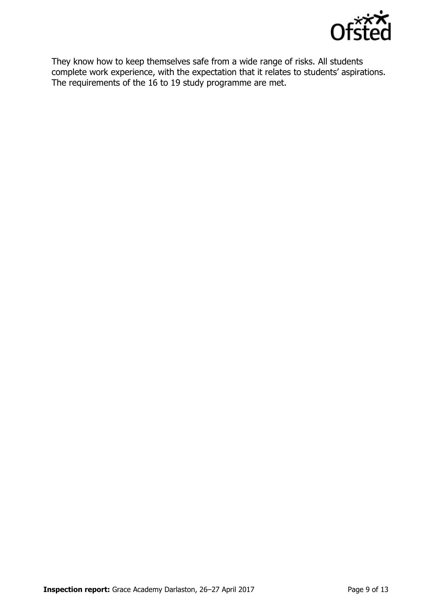

They know how to keep themselves safe from a wide range of risks. All students complete work experience, with the expectation that it relates to students' aspirations. The requirements of the 16 to 19 study programme are met.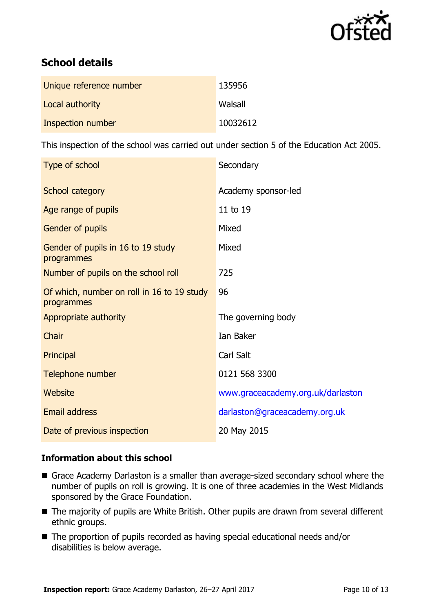

# **School details**

| Unique reference number | 135956   |
|-------------------------|----------|
| Local authority         | Walsall  |
| Inspection number       | 10032612 |

This inspection of the school was carried out under section 5 of the Education Act 2005.

| Type of school                                           | Secondary                         |
|----------------------------------------------------------|-----------------------------------|
| <b>School category</b>                                   | Academy sponsor-led               |
| Age range of pupils                                      | 11 to 19                          |
| <b>Gender of pupils</b>                                  | Mixed                             |
| Gender of pupils in 16 to 19 study<br>programmes         | Mixed                             |
| Number of pupils on the school roll                      | 725                               |
| Of which, number on roll in 16 to 19 study<br>programmes | 96                                |
| Appropriate authority                                    | The governing body                |
| Chair                                                    | Ian Baker                         |
| Principal                                                | Carl Salt                         |
| Telephone number                                         | 0121 568 3300                     |
| Website                                                  | www.graceacademy.org.uk/darlaston |
| <b>Email address</b>                                     | darlaston@graceacademy.org.uk     |
| Date of previous inspection                              | 20 May 2015                       |

### **Information about this school**

- Grace Academy Darlaston is a smaller than average-sized secondary school where the number of pupils on roll is growing. It is one of three academies in the West Midlands sponsored by the Grace Foundation.
- The majority of pupils are White British. Other pupils are drawn from several different ethnic groups.
- The proportion of pupils recorded as having special educational needs and/or disabilities is below average.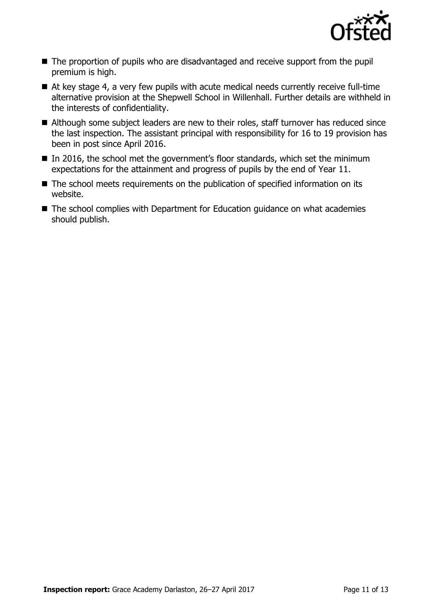

- The proportion of pupils who are disadvantaged and receive support from the pupil premium is high.
- At key stage 4, a very few pupils with acute medical needs currently receive full-time alternative provision at the Shepwell School in Willenhall. Further details are withheld in the interests of confidentiality.
- Although some subject leaders are new to their roles, staff turnover has reduced since the last inspection. The assistant principal with responsibility for 16 to 19 provision has been in post since April 2016.
- In 2016, the school met the government's floor standards, which set the minimum expectations for the attainment and progress of pupils by the end of Year 11.
- The school meets requirements on the publication of specified information on its website.
- The school complies with Department for Education guidance on what academies should publish.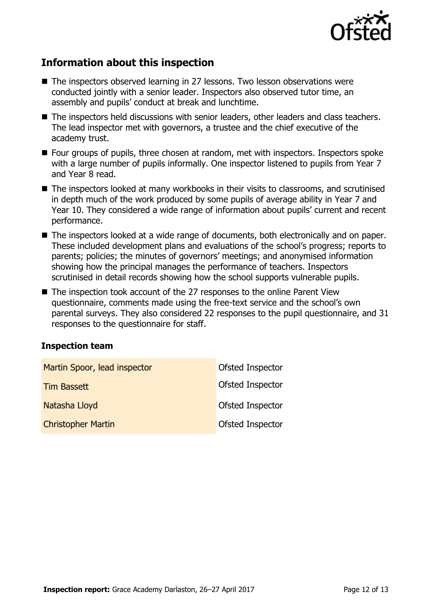

# **Information about this inspection**

- The inspectors observed learning in 27 lessons. Two lesson observations were conducted jointly with a senior leader. Inspectors also observed tutor time, an assembly and pupils' conduct at break and lunchtime.
- The inspectors held discussions with senior leaders, other leaders and class teachers. The lead inspector met with governors, a trustee and the chief executive of the academy trust.
- Four groups of pupils, three chosen at random, met with inspectors. Inspectors spoke with a large number of pupils informally. One inspector listened to pupils from Year 7 and Year 8 read.
- The inspectors looked at many workbooks in their visits to classrooms, and scrutinised in depth much of the work produced by some pupils of average ability in Year 7 and Year 10. They considered a wide range of information about pupils' current and recent performance.
- The inspectors looked at a wide range of documents, both electronically and on paper. These included development plans and evaluations of the school's progress; reports to parents; policies; the minutes of governors' meetings; and anonymised information showing how the principal manages the performance of teachers. Inspectors scrutinised in detail records showing how the school supports vulnerable pupils.
- The inspection took account of the 27 responses to the online Parent View questionnaire, comments made using the free-text service and the school's own parental surveys. They also considered 22 responses to the pupil questionnaire, and 31 responses to the questionnaire for staff.

### **Inspection team**

| Martin Spoor, lead inspector | Ofsted Inspector |
|------------------------------|------------------|
| <b>Tim Bassett</b>           | Ofsted Inspector |
| Natasha Lloyd                | Ofsted Inspector |
| <b>Christopher Martin</b>    | Ofsted Inspector |